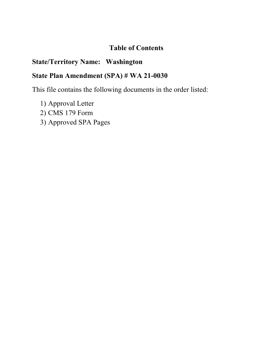# **Table of Contents**

# **State/Territory Name: Washington**

# **State Plan Amendment (SPA) # WA 21-0030**

This file contains the following documents in the order listed:

- 1) Approval Letter
- 2) CMS 179 Form
- 3) Approved SPA Pages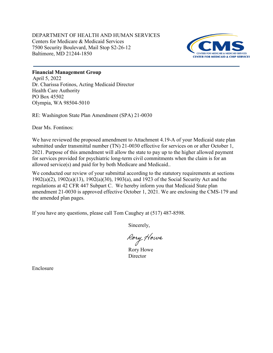DEPARTMENT OF HEALTH AND HUMAN SERVICES Centers for Medicare & Medicaid Services 7500 Security Boulevard, Mail Stop S2-26-12 Baltimore, MD 21244-1850



## **Financial Management Group**

Dr. Charissa Fotinos, Acting Medicaid Director Health Care Authority PO Box 45502 Olympia, WA 98504-5010 April 5, 2022

RE: Washington State Plan Amendment (SPA) 21-0030

Dear Ms. Fontinos:

We have reviewed the proposed amendment to Attachment 4.19-A of your Medicaid state plan submitted under transmittal number (TN) 21-0030 effective for services on or after October 1, 2021. Purpose of this amendment will allow the state to pay up to the higher allowed payment for services provided for psychiatric long-term civil commitments when the claim is for an allowed service(s) and paid for by both Medicare and Medicaid..

We conducted our review of your submittal according to the statutory requirements at sections 1902(a)(2), 1902(a)(13), 1902(a)(30), 1903(a), and 1923 of the Social Security Act and the regulations at 42 CFR 447 Subpart C. We hereby inform you that Medicaid State plan amendment 21-0030 is approved effective October 1, 2021. We are enclosing the CMS-179 and the amended plan pages.

If you have any questions, please call Tom Caughey at (517) 487-8598.

Sincerely,

Rory Howe

Rory Howe **Director** 

Enclosure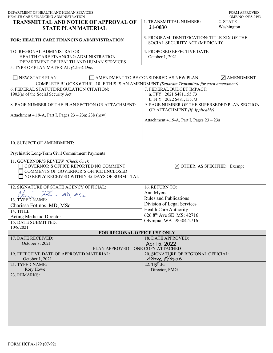| DEPARTMENT OF HEALTH AND HUMAN SERVICES<br>HEALTH CARE FINANCING ADMINISTRATION                                                                                        |                                                                                   | <b>FORM APPROVED</b><br>OMB NO. 0938-0193 |
|------------------------------------------------------------------------------------------------------------------------------------------------------------------------|-----------------------------------------------------------------------------------|-------------------------------------------|
| <b>TRANSMITTAL AND NOTICE OF APPROVAL OF</b><br><b>STATE PLAN MATERIAL</b>                                                                                             | 1. TRANSMITTAL NUMBER:<br>21-0030                                                 | 2. STATE<br>Washington                    |
| <b>FOR: HEALTH CARE FINANCING ADMINISTRATION</b>                                                                                                                       | 3. PROGRAM IDENTIFICATION: TITLE XIX OF THE<br>SOCIAL SECURITY ACT (MEDICAID)     |                                           |
| TO: REGIONAL ADMINISTRATOR<br>HEALTH CARE FINANCING ADMINISTRATION<br>DEPARTMENT OF HEALTH AND HUMAN SERVICES                                                          | 4. PROPOSED EFFECTIVE DATE<br>October 1, 2021                                     |                                           |
| 5. TYPE OF PLAN MATERIAL (Check One):                                                                                                                                  |                                                                                   |                                           |
| NEW STATE PLAN                                                                                                                                                         | AMENDMENT TO BE CONSIDERED AS NEW PLAN                                            | $\times$ AMENDMENT                        |
| COMPLETE BLOCKS 6 THRU 10 IF THIS IS AN AMENDMENT (Separate Transmittal for each amendment)                                                                            |                                                                                   |                                           |
| 6. FEDERAL STATUTE/REGULATION CITATION:<br>1902(a) of the Social Security Act                                                                                          | 7. FEDERAL BUDGET IMPACT:<br>a. FFY 2021 \$481,155.73<br>b. FFY 2022 \$481,155.73 |                                           |
| 8. PAGE NUMBER OF THE PLAN SECTION OR ATTACHMENT:                                                                                                                      | 9. PAGE NUMBER OF THE SUPERSEDED PLAN SECTION<br>OR ATTACHMENT (If Applicable):   |                                           |
| Attachment 4.19-A, Part I, Pages $23 - 23a$ ; $23b$ (new)                                                                                                              | Attachment 4.19-A, Part I, Pages 23 - 23a                                         |                                           |
| 10. SUBJECT OF AMENDMENT:<br>Psychiatric Long-Term Civil Commitment Payments                                                                                           |                                                                                   |                                           |
| 11. GOVERNOR'S REVIEW (Check One):<br>GOVERNOR'S OFFICE REPORTED NO COMMENT<br>COMMENTS OF GOVERNOR'S OFFICE ENCLOSED<br>NO REPLY RECEIVED WITHIN 45 DAYS OF SUBMITTAL | $\boxtimes$ OTHER, AS SPECIFIED: Exempt                                           |                                           |
| 12. SIGNATURE OF STATE AGENCY OFFICIAL:                                                                                                                                | 16. RETURN TO:                                                                    |                                           |
| $272$ MD $MSc$                                                                                                                                                         | Ann Myers                                                                         |                                           |
| 13. TYPED NAME:                                                                                                                                                        | Rules and Publications                                                            |                                           |
| Charissa Fotinos, MD, MSc                                                                                                                                              | Division of Legal Services                                                        |                                           |
| 14. TITLE:                                                                                                                                                             | Health Care Authority                                                             |                                           |
| <b>Acting Medicaid Director</b>                                                                                                                                        | 626 8 <sup>th</sup> Ave SE MS: 42716                                              |                                           |
| 15. DATE SUBMITTED:                                                                                                                                                    | Olympia, WA 98504-2716                                                            |                                           |
| 10/8/2021                                                                                                                                                              |                                                                                   |                                           |
| FOR REGIONAL OFFICE USE ONLY                                                                                                                                           |                                                                                   |                                           |
| 17. DATE RECEIVED:                                                                                                                                                     | 18. DATE APPROVED:                                                                |                                           |
| October 8, 2021                                                                                                                                                        | April 5, 2022                                                                     |                                           |
| PLAN APPROVED – ONE COPY ATTACHED                                                                                                                                      |                                                                                   |                                           |
| 19. EFFECTIVE DATE OF APPROVED MATERIAL:                                                                                                                               | 20. SIGNATURE OF REGIONAL OFFICIAL:<br>Kory Howe                                  |                                           |
| October 1, 2021<br>21. TYPED NAME:                                                                                                                                     | 22. TITLE:                                                                        |                                           |
| Rory Howe                                                                                                                                                              | Director, FMG                                                                     |                                           |
| 23. REMARKS:                                                                                                                                                           |                                                                                   |                                           |
|                                                                                                                                                                        |                                                                                   |                                           |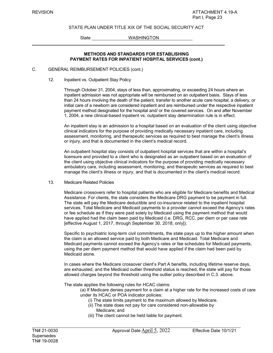### STATE PLAN UNDER TITLE XIX OF THE SOCIAL SECURITY ACT

State WASHINGTON

### **METHODS AND STANDARDS FOR ESTABLISHING PAYMENT RATES FOR INPATIENT HOSPITAL SERVICES (cont.)**

#### C. GENERAL REIMBURSEMENT POLICIES (cont.)

12. Inpatient vs. Outpatient Stay Policy

Through October 31, 2004, stays of less than, approximating, or exceeding 24 hours where an inpatient admission was not appropriate will be reimbursed on an outpatient basis. Stays of less than 24 hours involving the death of the patient, transfer to another acute care hospital, a delivery, or initial care of a newborn are considered inpatient and are reimbursed under the respective inpatient payment method designated for the hospital and/ or the covered services. On and after November 1, 2004, a new clinical-based inpatient vs. outpatient stay determination rule is in effect.

An inpatient stay is an admission to a hospital based on an evaluation of the client using objective clinical indicators for the purpose of providing medically necessary inpatient care, including assessment, monitoring, and therapeutic services as required to best manage the client's illness or injury, and that is documented in the client's medical record.

An outpatient hospital stay consists of outpatient hospital services that are within a hospital's licensure and provided to a client who is designated as an outpatient based on an evaluation of the client using objective clinical indicators for the purpose of providing medically necessary ambulatory care, including assessment, monitoring, and therapeutic services as required to best manage the client's illness or injury, and that is documented in the client's medical record.

13. Medicare Related Policies

Medicare crossovers refer to hospital patients who are eligible for Medicare benefits and Medical Assistance. For clients, the state considers the Medicare DRG payment to be payment in full. The state will pay the Medicare deductible and co-insurance related to the inpatient hospital services. Total Medicare and Medicaid payments to a provider cannot exceed the Agency's rates or fee schedule as if they were paid solely by Medicaid using the payment method that would have applied had the claim been paid by Medicaid (i.e. DRG, RCC, per diem or per case rate [effective August 1, 2017, through September 30, 2018, only]).

Specific to psychiatric long-term civil commitments, the state pays up to the higher amount when the claim is an allowed service paid by both Medicare and Medicaid. Total Medicare and Medicaid payments cannot exceed the Agency's rates or fee schedules for Medicaid payments, using the per diem payment method that would have applied if the claim had been paid by Medicaid alone.

In cases where the Medicare crossover client's Part A benefits, including lifetime reserve days, are exhausted, and the Medicaid outlier threshold status is reached, the state will pay for those allowed charges beyond the threshold using the outlier policy described in C.3. above.

The state applies the following rules for HCAC claims:

(a) If Medicare denies payment for a claim at a higher rate for the increased costs of care under its HCAC or POA indicator policies:

- (i) The state limits payment to the maximum allowed by Medicare.
- (ii) The state does not pay for care considered non-allowable by Medicare; and
- (iii) The client cannot be held liable for payment.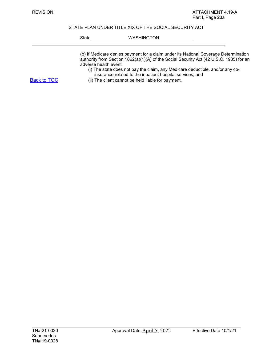### STATE PLAN UNDER TITLE XIX OF THE SOCIAL SECURITY ACT

## State WASHINGTON

|                    | (b) If Medicare denies payment for a claim under its National Coverage Determination<br>authority from Section $1862(a)(1)(A)$ of the Social Security Act (42 U.S.C. 1935) for an<br>adverse health event: |
|--------------------|------------------------------------------------------------------------------------------------------------------------------------------------------------------------------------------------------------|
| <b>Back to TOC</b> | (i) The state does not pay the claim, any Medicare deductible, and/or any co-<br>insurance related to the inpatient hospital services; and<br>(ii) The client cannot be held liable for payment.           |